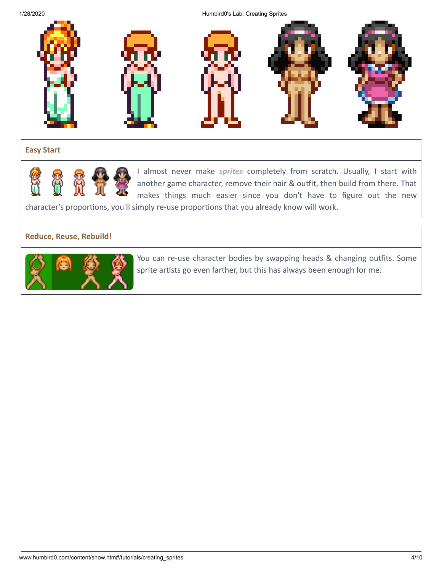1/28/2020 Humbird0's Lab: Creating Sprites



# **Easy Start**



I almost never make *sprites* completely from scratch. Usually, I start with another game character, remove their hair & outfit, then build from there. That makes things much easier since you don't have to figure out the new

character's proportions, you'll simply re-use proportions that you already know will work.

# **Reduce, Reuse, Rebuild!**



You can re-use character bodies by swapping heads & changing outfits. Some sprite artists go even farther, but this has always been enough for me.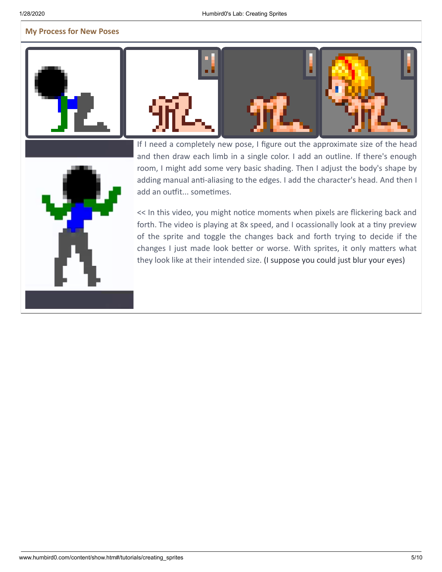#### **My Process for New Poses**







If I need a completely new pose, I figure out the approximate size of the head and then draw each limb in a single color. I add an outline. If there's enough room, I might add some very basic shading. Then I adjust the body's shape by adding manual anti-aliasing to the edges. I add the character's head. And then I add an outfit... sometimes.

<< In this video, you might notice moments when pixels are flickering back and forth. The video is playing at 8x speed, and I ocassionally look at a tiny preview of the sprite and toggle the changes back and forth trying to decide if the changes I just made look better or worse. With sprites, it only matters what they look like at their intended size. (I suppose you could just blur your eyes)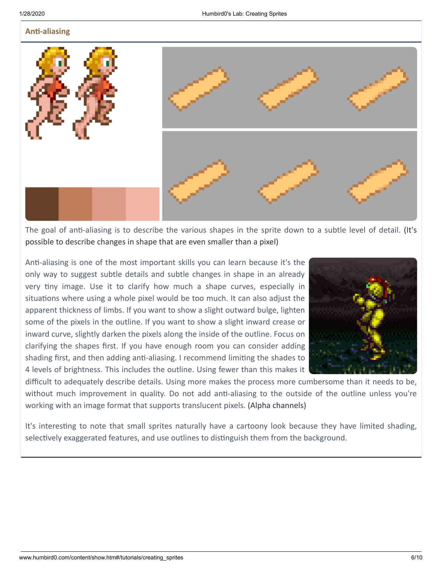### **Anti-aliasing**



The goal of anti-aliasing is to describe the various shapes in the sprite down to a subtle level of detail. (It's possible to describe changes in shape that are even smaller than a pixel)

Anti-aliasing is one of the most important skills you can learn because it's the only way to suggest subtle details and subtle changes in shape in an already very tiny image. Use it to clarify how much a shape curves, especially in situations where using a whole pixel would be too much. It can also adjust the apparent thickness of limbs. If you want to show a slight outward bulge, lighten some of the pixels in the outline. If you want to show a slight inward crease or inward curve, slightly darken the pixels along the inside of the outline. Focus on clarifying the shapes first. If you have enough room you can consider adding shading first, and then adding anti-aliasing. I recommend limiting the shades to 4 levels of brightness. This includes the outline. Using fewer than this makes it



difficult to adequately describe details. Using more makes the process more cumbersome than it needs to be, without much improvement in quality. Do not add anti-aliasing to the outside of the outline unless you're working with an image format that supports translucent pixels. (Alpha channels)

It's interesting to note that small sprites naturally have a cartoony look because they have limited shading, selectively exaggerated features, and use outlines to distinguish them from the background.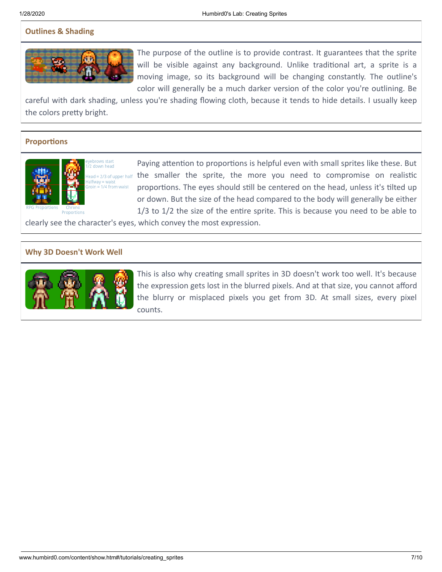## **Outlines & Shading**



The purpose of the outline is to provide contrast. It guarantees that the sprite will be visible against any background. Unlike traditional art, a sprite is a moving image, so its background will be changing constantly. The outline's color will generally be a much darker version of the color you're outlining. Be

careful with dark shading, unless you're shading flowing cloth, because it tends to hide details. I usually keep the colors pretty bright.

## **Proportions**



2 down head  $d = 2/3$  of upper half 1/4 from waist

ebrows start

Paying attention to proportions is helpful even with small sprites like these. But the smaller the sprite, the more you need to compromise on realistic proportions. The eyes should still be centered on the head, unless it's tilted up or down. But the size of the head compared to the body will generally be either  $1/3$  to  $1/2$  the size of the entire sprite. This is because you need to be able to

clearly see the character's eyes, which convey the most expression.

## **Why 3D Doesn't Work Well**



This is also why creating small sprites in 3D doesn't work too well. It's because the expression gets lost in the blurred pixels. And at that size, you cannot afford the blurry or misplaced pixels you get from 3D. At small sizes, every pixel counts.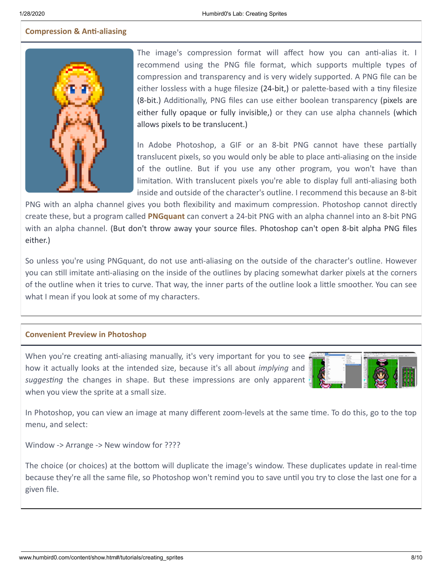### **Compression & Anti-aliasing**



The image's compression format will affect how you can anti-alias it. I recommend using the PNG file format, which supports multiple types of compression and transparency and is very widely supported. A PNG file can be either lossless with a huge filesize  $(24-bit)$ , or palette-based with a tiny filesize (8-bit.) Additionally, PNG files can use either boolean transparency (pixels are either fully opaque or fully invisible,) or they can use alpha channels (which allows pixels to be translucent.)

In Adobe Photoshop, a GIF or an 8-bit PNG cannot have these partially translucent pixels, so you would only be able to place anti-aliasing on the inside of the outline. But if you use any other program, you won't have than limitation. With translucent pixels you're able to display full anti-aliasing both inside and outside of the character's outline. I recommend this because an 8-bit

PNG with an alpha channel gives you both flexibility and maximum compression. Photoshop cannot directly create these, but a program called **[PNGquant](http://pngquant.org/)** can convert a 24-bit PNG with an alpha channel into an 8-bit PNG with an alpha channel. (But don't throw away your source files. Photoshop can't open 8-bit alpha PNG files either.)

So unless you're using PNGquant, do not use anti-aliasing on the outside of the character's outline. However you can still imitate anti-aliasing on the inside of the outlines by placing somewhat darker pixels at the corners of the outline when it tries to curve. That way, the inner parts of the outline look a little smoother. You can see what I mean if you look at some of my characters.

#### **Convenient Preview in Photoshop**

When you're creating anti-aliasing manually, it's very important for you to see how it actually looks at the intended size, because it's all about *implying* and suggesting the changes in shape. But these impressions are only apparent when you view the sprite at a small size.



In Photoshop, you can view an image at many different zoom-levels at the same time. To do this, go to the top menu, and select:

Window -> Arrange -> New window for ????

The choice (or choices) at the bottom will duplicate the image's window. These duplicates update in real-time because they're all the same file, so Photoshop won't remind you to save until you try to close the last one for a given file.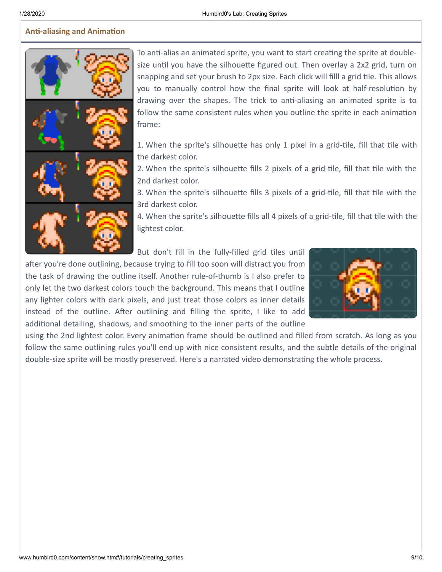#### **Anti-aliasing and Animation**



To anti-alias an animated sprite, you want to start creating the sprite at doublesize until you have the silhouette figured out. Then overlay a 2x2 grid, turn on snapping and set your brush to 2px size. Each click will filll a grid tile. This allows you to manually control how the final sprite will look at half-resolution by drawing over the shapes. The trick to anti-aliasing an animated sprite is to follow the same consistent rules when you outline the sprite in each animation frame:

1. When the sprite's silhouette has only 1 pixel in a grid-tile, fill that tile with the darkest color.

2. When the sprite's silhouette fills 2 pixels of a grid-tile, fill that tile with the 2nd darkest color.

3. When the sprite's silhouette fills 3 pixels of a grid-tile, fill that tile with the 3rd darkest color.

4. When the sprite's silhouette fills all 4 pixels of a grid-tile, fill that tile with the lightest color.

But don't fill in the fully-filled grid tiles until

after you're done outlining, because trying to fill too soon will distract you from the task of drawing the outline itself. Another rule-of-thumb is I also prefer to only let the two darkest colors touch the background. This means that I outline any lighter colors with dark pixels, and just treat those colors as inner details instead of the outline. After outlining and filling the sprite, I like to add additional detailing, shadows, and smoothing to the inner parts of the outline



using the 2nd lightest color. Every animation frame should be outlined and filled from scratch. As long as you follow the same outlining rules you'll end up with nice consistent results, and the subtle details of the original double-size sprite will be mostly preserved. Here's a narrated video demonstrating the whole process.